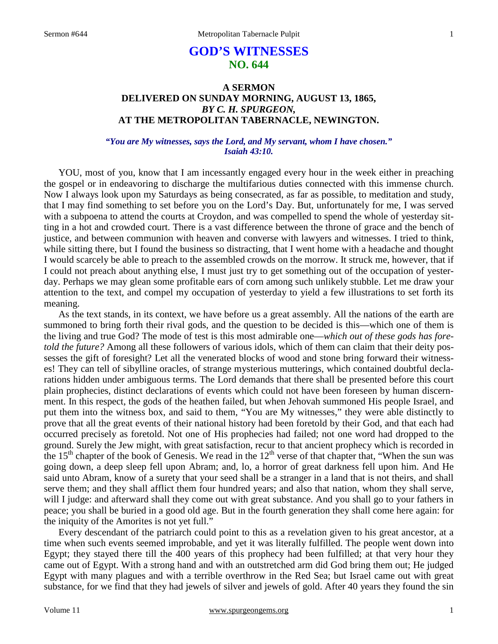# **GOD'S WITNESSES NO. 644**

# **A SERMON DELIVERED ON SUNDAY MORNING, AUGUST 13, 1865,**  *BY C. H. SPURGEON,*  **AT THE METROPOLITAN TABERNACLE, NEWINGTON.**

### *"You are My witnesses, says the Lord, and My servant, whom I have chosen." Isaiah 43:10.*

YOU, most of you, know that I am incessantly engaged every hour in the week either in preaching the gospel or in endeavoring to discharge the multifarious duties connected with this immense church. Now I always look upon my Saturdays as being consecrated, as far as possible, to meditation and study, that I may find something to set before you on the Lord's Day. But, unfortunately for me, I was served with a subpoena to attend the courts at Croydon, and was compelled to spend the whole of yesterday sitting in a hot and crowded court. There is a vast difference between the throne of grace and the bench of justice, and between communion with heaven and converse with lawyers and witnesses. I tried to think, while sitting there, but I found the business so distracting, that I went home with a headache and thought I would scarcely be able to preach to the assembled crowds on the morrow. It struck me, however, that if I could not preach about anything else, I must just try to get something out of the occupation of yesterday. Perhaps we may glean some profitable ears of corn among such unlikely stubble. Let me draw your attention to the text, and compel my occupation of yesterday to yield a few illustrations to set forth its meaning.

 As the text stands, in its context, we have before us a great assembly. All the nations of the earth are summoned to bring forth their rival gods, and the question to be decided is this—which one of them is the living and true God? The mode of test is this most admirable one—*which out of these gods has foretold the future?* Among all these followers of various idols, which of them can claim that their deity possesses the gift of foresight? Let all the venerated blocks of wood and stone bring forward their witnesses! They can tell of sibylline oracles, of strange mysterious mutterings, which contained doubtful declarations hidden under ambiguous terms. The Lord demands that there shall be presented before this court plain prophecies, distinct declarations of events which could not have been foreseen by human discernment. In this respect, the gods of the heathen failed, but when Jehovah summoned His people Israel, and put them into the witness box, and said to them, "You are My witnesses," they were able distinctly to prove that all the great events of their national history had been foretold by their God, and that each had occurred precisely as foretold. Not one of His prophecies had failed; not one word had dropped to the ground. Surely the Jew might, with great satisfaction, recur to that ancient prophecy which is recorded in the 15<sup>th</sup> chapter of the book of Genesis. We read in the  $12<sup>th</sup>$  verse of that chapter that, "When the sun was going down, a deep sleep fell upon Abram; and, lo, a horror of great darkness fell upon him. And He said unto Abram, know of a surety that your seed shall be a stranger in a land that is not theirs, and shall serve them; and they shall afflict them four hundred years; and also that nation, whom they shall serve, will I judge: and afterward shall they come out with great substance. And you shall go to your fathers in peace; you shall be buried in a good old age. But in the fourth generation they shall come here again: for the iniquity of the Amorites is not yet full."

 Every descendant of the patriarch could point to this as a revelation given to his great ancestor, at a time when such events seemed improbable, and yet it was literally fulfilled. The people went down into Egypt; they stayed there till the 400 years of this prophecy had been fulfilled; at that very hour they came out of Egypt. With a strong hand and with an outstretched arm did God bring them out; He judged Egypt with many plagues and with a terrible overthrow in the Red Sea; but Israel came out with great substance, for we find that they had jewels of silver and jewels of gold. After 40 years they found the sin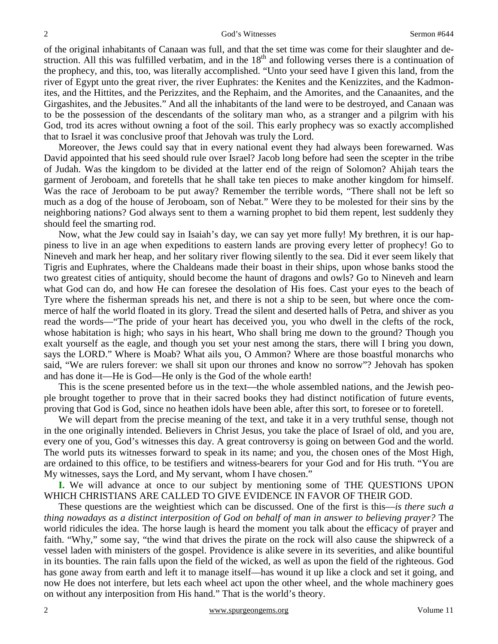of the original inhabitants of Canaan was full, and that the set time was come for their slaughter and destruction. All this was fulfilled verbatim, and in the 18<sup>th</sup> and following verses there is a continuation of the prophecy, and this, too, was literally accomplished. "Unto your seed have I given this land, from the river of Egypt unto the great river, the river Euphrates: the Kenites and the Kenizzites, and the Kadmonites, and the Hittites, and the Perizzites, and the Rephaim, and the Amorites, and the Canaanites, and the Girgashites, and the Jebusites." And all the inhabitants of the land were to be destroyed, and Canaan was to be the possession of the descendants of the solitary man who, as a stranger and a pilgrim with his God, trod its acres without owning a foot of the soil. This early prophecy was so exactly accomplished that to Israel it was conclusive proof that Jehovah was truly the Lord.

 Moreover, the Jews could say that in every national event they had always been forewarned. Was David appointed that his seed should rule over Israel? Jacob long before had seen the scepter in the tribe of Judah. Was the kingdom to be divided at the latter end of the reign of Solomon? Ahijah tears the garment of Jeroboam, and foretells that he shall take ten pieces to make another kingdom for himself. Was the race of Jeroboam to be put away? Remember the terrible words, "There shall not be left so much as a dog of the house of Jeroboam, son of Nebat." Were they to be molested for their sins by the neighboring nations? God always sent to them a warning prophet to bid them repent, lest suddenly they should feel the smarting rod.

 Now, what the Jew could say in Isaiah's day, we can say yet more fully! My brethren, it is our happiness to live in an age when expeditions to eastern lands are proving every letter of prophecy! Go to Nineveh and mark her heap, and her solitary river flowing silently to the sea. Did it ever seem likely that Tigris and Euphrates, where the Chaldeans made their boast in their ships, upon whose banks stood the two greatest cities of antiquity, should become the haunt of dragons and owls? Go to Nineveh and learn what God can do, and how He can foresee the desolation of His foes. Cast your eyes to the beach of Tyre where the fisherman spreads his net, and there is not a ship to be seen, but where once the commerce of half the world floated in its glory. Tread the silent and deserted halls of Petra, and shiver as you read the words—"The pride of your heart has deceived you, you who dwell in the clefts of the rock, whose habitation is high; who says in his heart, Who shall bring me down to the ground? Though you exalt yourself as the eagle, and though you set your nest among the stars, there will I bring you down, says the LORD." Where is Moab? What ails you, O Ammon? Where are those boastful monarchs who said, "We are rulers forever: we shall sit upon our thrones and know no sorrow"? Jehovah has spoken and has done it—He is God—He only is the God of the whole earth!

 This is the scene presented before us in the text—the whole assembled nations, and the Jewish people brought together to prove that in their sacred books they had distinct notification of future events, proving that God is God, since no heathen idols have been able, after this sort, to foresee or to foretell.

 We will depart from the precise meaning of the text, and take it in a very truthful sense, though not in the one originally intended. Believers in Christ Jesus, you take the place of Israel of old, and you are, every one of you, God's witnesses this day. A great controversy is going on between God and the world. The world puts its witnesses forward to speak in its name; and you, the chosen ones of the Most High, are ordained to this office, to be testifiers and witness-bearers for your God and for His truth. "You are My witnesses, says the Lord, and My servant, whom I have chosen."

**I.** We will advance at once to our subject by mentioning some of THE QUESTIONS UPON WHICH CHRISTIANS ARE CALLED TO GIVE EVIDENCE IN FAVOR OF THEIR GOD.

 These questions are the weightiest which can be discussed. One of the first is this—*is there such a thing nowadays as a distinct interposition of God on behalf of man in answer to believing prayer?* The world ridicules the idea. The horse laugh is heard the moment you talk about the efficacy of prayer and faith. "Why," some say, "the wind that drives the pirate on the rock will also cause the shipwreck of a vessel laden with ministers of the gospel. Providence is alike severe in its severities, and alike bountiful in its bounties. The rain falls upon the field of the wicked, as well as upon the field of the righteous. God has gone away from earth and left it to manage itself—has wound it up like a clock and set it going, and now He does not interfere, but lets each wheel act upon the other wheel, and the whole machinery goes on without any interposition from His hand." That is the world's theory.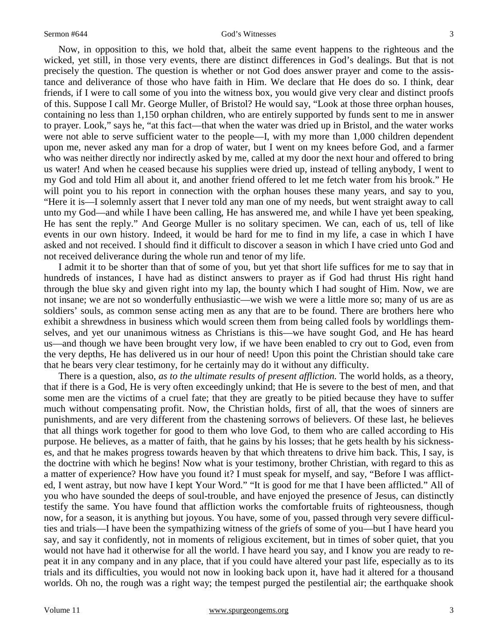Now, in opposition to this, we hold that, albeit the same event happens to the righteous and the wicked, yet still, in those very events, there are distinct differences in God's dealings. But that is not precisely the question. The question is whether or not God does answer prayer and come to the assistance and deliverance of those who have faith in Him. We declare that He does do so. I think, dear friends, if I were to call some of you into the witness box, you would give very clear and distinct proofs of this. Suppose I call Mr. George Muller, of Bristol? He would say, "Look at those three orphan houses, containing no less than 1,150 orphan children, who are entirely supported by funds sent to me in answer to prayer. Look," says he, "at this fact—that when the water was dried up in Bristol, and the water works were not able to serve sufficient water to the people—I, with my more than 1,000 children dependent upon me, never asked any man for a drop of water, but I went on my knees before God, and a farmer who was neither directly nor indirectly asked by me, called at my door the next hour and offered to bring us water! And when he ceased because his supplies were dried up, instead of telling anybody, I went to my God and told Him all about it, and another friend offered to let me fetch water from his brook." He will point you to his report in connection with the orphan houses these many years, and say to you, "Here it is—I solemnly assert that I never told any man one of my needs, but went straight away to call unto my God—and while I have been calling, He has answered me, and while I have yet been speaking, He has sent the reply." And George Muller is no solitary specimen. We can, each of us, tell of like events in our own history. Indeed, it would be hard for me to find in my life, a case in which I have asked and not received. I should find it difficult to discover a season in which I have cried unto God and not received deliverance during the whole run and tenor of my life.

 I admit it to be shorter than that of some of you, but yet that short life suffices for me to say that in hundreds of instances, I have had as distinct answers to prayer as if God had thrust His right hand through the blue sky and given right into my lap, the bounty which I had sought of Him. Now, we are not insane; we are not so wonderfully enthusiastic—we wish we were a little more so; many of us are as soldiers' souls, as common sense acting men as any that are to be found. There are brothers here who exhibit a shrewdness in business which would screen them from being called fools by worldlings themselves, and yet our unanimous witness as Christians is this—we have sought God, and He has heard us—and though we have been brought very low, if we have been enabled to cry out to God, even from the very depths, He has delivered us in our hour of need! Upon this point the Christian should take care that he bears very clear testimony, for he certainly may do it without any difficulty.

 There is a question, also, *as to the ultimate results of present affliction.* The world holds, as a theory, that if there is a God, He is very often exceedingly unkind; that He is severe to the best of men, and that some men are the victims of a cruel fate; that they are greatly to be pitied because they have to suffer much without compensating profit. Now, the Christian holds, first of all, that the woes of sinners are punishments*,* and are very different from the chastening sorrows of believers. Of these last, he believes that all things work together for good to them who love God, to them who are called according to His purpose. He believes, as a matter of faith, that he gains by his losses; that he gets health by his sicknesses, and that he makes progress towards heaven by that which threatens to drive him back. This, I say, is the doctrine with which he begins! Now what is your testimony, brother Christian, with regard to this as a matter of experience? How have you found it? I must speak for myself, and say, "Before I was afflicted, I went astray, but now have I kept Your Word." "It is good for me that I have been afflicted." All of you who have sounded the deeps of soul-trouble, and have enjoyed the presence of Jesus, can distinctly testify the same. You have found that affliction works the comfortable fruits of righteousness, though now, for a season, it is anything but joyous. You have, some of you, passed through very severe difficulties and trials—I have been the sympathizing witness of the griefs of some of you—but I have heard you say, and say it confidently, not in moments of religious excitement, but in times of sober quiet, that you would not have had it otherwise for all the world. I have heard you say, and I know you are ready to repeat it in any company and in any place, that if you could have altered your past life, especially as to its trials and its difficulties, you would not now in looking back upon it, have had it altered for a thousand worlds. Oh no, the rough was a right way; the tempest purged the pestilential air; the earthquake shook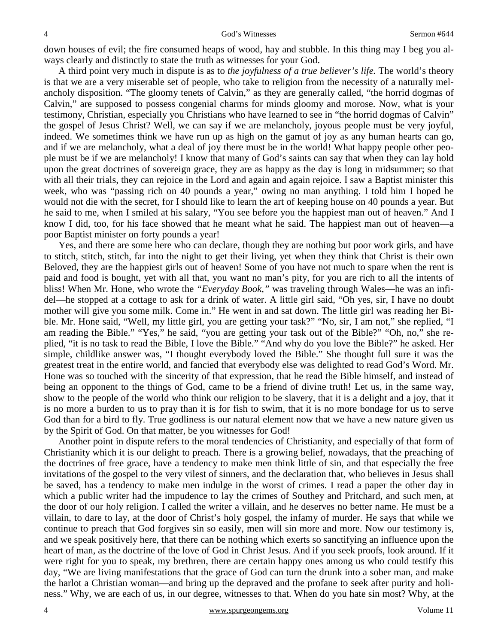down houses of evil; the fire consumed heaps of wood, hay and stubble. In this thing may I beg you always clearly and distinctly to state the truth as witnesses for your God.

 A third point very much in dispute is as to *the joyfulness of a true believer's life.* The world's theory is that we are a very miserable set of people, who take to religion from the necessity of a naturally melancholy disposition. "The gloomy tenets of Calvin," as they are generally called, "the horrid dogmas of Calvin," are supposed to possess congenial charms for minds gloomy and morose. Now, what is your testimony, Christian, especially you Christians who have learned to see in "the horrid dogmas of Calvin" the gospel of Jesus Christ? Well, we can say if we are melancholy, joyous people must be very joyful, indeed. We sometimes think we have run up as high on the gamut of joy as any human hearts can go, and if we are melancholy, what a deal of joy there must be in the world! What happy people other people must be if we are melancholy! I know that many of God's saints can say that when they can lay hold upon the great doctrines of sovereign grace, they are as happy as the day is long in midsummer; so that with all their trials, they can rejoice in the Lord and again and again rejoice. I saw a Baptist minister this week, who was "passing rich on 40 pounds a year," owing no man anything. I told him I hoped he would not die with the secret, for I should like to learn the art of keeping house on 40 pounds a year. But he said to me, when I smiled at his salary, "You see before you the happiest man out of heaven." And I know I did, too, for his face showed that he meant what he said. The happiest man out of heaven—a poor Baptist minister on forty pounds a year!

 Yes, and there are some here who can declare, though they are nothing but poor work girls, and have to stitch, stitch, stitch, far into the night to get their living, yet when they think that Christ is their own Beloved, they are the happiest girls out of heaven! Some of you have not much to spare when the rent is paid and food is bought, yet with all that, you want no man's pity, for you are rich to all the intents of bliss! When Mr. Hone, who wrote the *"Everyday Book,"* was traveling through Wales—he was an infidel—he stopped at a cottage to ask for a drink of water. A little girl said, "Oh yes, sir, I have no doubt mother will give you some milk. Come in." He went in and sat down. The little girl was reading her Bible. Mr. Hone said, "Well, my little girl, you are getting your task?" "No, sir, I am not," she replied, "I am reading the Bible." "Yes," he said, "you are getting your task out of the Bible?" "Oh, no," she replied, "it is no task to read the Bible, I love the Bible." "And why do you love the Bible?" he asked. Her simple, childlike answer was, "I thought everybody loved the Bible." She thought full sure it was the greatest treat in the entire world, and fancied that everybody else was delighted to read God's Word. Mr. Hone was so touched with the sincerity of that expression, that he read the Bible himself, and instead of being an opponent to the things of God, came to be a friend of divine truth! Let us, in the same way, show to the people of the world who think our religion to be slavery, that it is a delight and a joy, that it is no more a burden to us to pray than it is for fish to swim, that it is no more bondage for us to serve God than for a bird to fly. True godliness is our natural element now that we have a new nature given us by the Spirit of God. On that matter, be you witnesses for God!

 Another point in dispute refers to the moral tendencies of Christianity, and especially of that form of Christianity which it is our delight to preach. There is a growing belief, nowadays, that the preaching of the doctrines of free grace, have a tendency to make men think little of sin, and that especially the free invitations of the gospel to the very vilest of sinners, and the declaration that, who believes in Jesus shall be saved, has a tendency to make men indulge in the worst of crimes. I read a paper the other day in which a public writer had the impudence to lay the crimes of Southey and Pritchard, and such men, at the door of our holy religion. I called the writer a villain, and he deserves no better name. He must be a villain, to dare to lay, at the door of Christ's holy gospel, the infamy of murder. He says that while we continue to preach that God forgives sin so easily, men will sin more and more. Now our testimony is, and we speak positively here, that there can be nothing which exerts so sanctifying an influence upon the heart of man, as the doctrine of the love of God in Christ Jesus. And if you seek proofs, look around. If it were right for you to speak, my brethren, there are certain happy ones among us who could testify this day, "We are living manifestations that the grace of God can turn the drunk into a sober man, and make the harlot a Christian woman—and bring up the depraved and the profane to seek after purity and holiness." Why, we are each of us, in our degree, witnesses to that. When do you hate sin most? Why, at the

4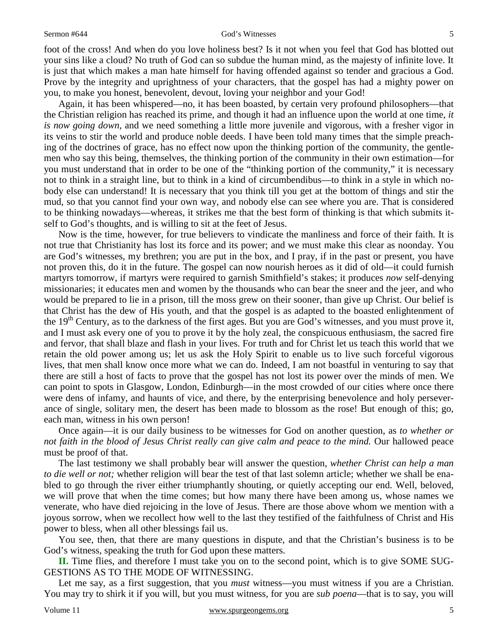#### Sermon #644 God's Witnesses

foot of the cross! And when do you love holiness best? Is it not when you feel that God has blotted out your sins like a cloud? No truth of God can so subdue the human mind, as the majesty of infinite love. It is just that which makes a man hate himself for having offended against so tender and gracious a God. Prove by the integrity and uprightness of your characters, that the gospel has had a mighty power on you, to make you honest, benevolent, devout, loving your neighbor and your God!

 Again, it has been whispered—no, it has been boasted, by certain very profound philosophers—that the Christian religion has reached its prime, and though it had an influence upon the world at one time, *it is now going down,* and we need something a little more juvenile and vigorous, with a fresher vigor in its veins to stir the world and produce noble deeds. I have been told many times that the simple preaching of the doctrines of grace, has no effect now upon the thinking portion of the community, the gentlemen who say this being, themselves, the thinking portion of the community in their own estimation—for you must understand that in order to be one of the "thinking portion of the community," it is necessary not to think in a straight line, but to think in a kind of circumbendibus—to think in a style in which nobody else can understand! It is necessary that you think till you get at the bottom of things and stir the mud, so that you cannot find your own way, and nobody else can see where you are. That is considered to be thinking nowadays—whereas, it strikes me that the best form of thinking is that which submits itself to God's thoughts, and is willing to sit at the feet of Jesus.

 Now is the time, however, for true believers to vindicate the manliness and force of their faith. It is not true that Christianity has lost its force and its power; and we must make this clear as noonday. You are God's witnesses, my brethren; you are put in the box, and I pray, if in the past or present, you have not proven this, do it in the future. The gospel can now nourish heroes as it did of old—it could furnish martyrs tomorrow, if martyrs were required to garnish Smithfield's stakes; it produces *now* self-denying missionaries; it educates men and women by the thousands who can bear the sneer and the jeer, and who would be prepared to lie in a prison, till the moss grew on their sooner, than give up Christ. Our belief is that Christ has the dew of His youth, and that the gospel is as adapted to the boasted enlightenment of the 19<sup>th</sup> Century, as to the darkness of the first ages. But you are God's witnesses, and you must prove it, and I must ask every one of you to prove it by the holy zeal, the conspicuous enthusiasm, the sacred fire and fervor, that shall blaze and flash in your lives. For truth and for Christ let us teach this world that we retain the old power among us; let us ask the Holy Spirit to enable us to live such forceful vigorous lives, that men shall know once more what we can do. Indeed, I am not boastful in venturing to say that there are still a host of facts to prove that the gospel has not lost its power over the minds of men. We can point to spots in Glasgow, London, Edinburgh—in the most crowded of our cities where once there were dens of infamy, and haunts of vice, and there, by the enterprising benevolence and holy perseverance of single, solitary men, the desert has been made to blossom as the rose! But enough of this; go, each man, witness in his own person!

 Once again—it is our daily business to be witnesses for God on another question, as *to whether or not faith in the blood of Jesus Christ really can give calm and peace to the mind.* Our hallowed peace must be proof of that.

 The last testimony we shall probably bear will answer the question, *whether Christ can help a man to die well or not;* whether religion will bear the test of that last solemn article; whether we shall be enabled to go through the river either triumphantly shouting, or quietly accepting our end. Well, beloved, we will prove that when the time comes; but how many there have been among us, whose names we venerate, who have died rejoicing in the love of Jesus. There are those above whom we mention with a joyous sorrow, when we recollect how well to the last they testified of the faithfulness of Christ and His power to bless, when all other blessings fail us.

 You see, then, that there are many questions in dispute, and that the Christian's business is to be God's witness, speaking the truth for God upon these matters.

**II.** Time flies, and therefore I must take you on to the second point, which is to give SOME SUG-GESTIONS AS TO THE MODE OF WITNESSING.

Let me say, as a first suggestion, that you *must* witness—you must witness if you are a Christian. You may try to shirk it if you will, but you must witness, for you are *sub poena*—that is to say, you will

5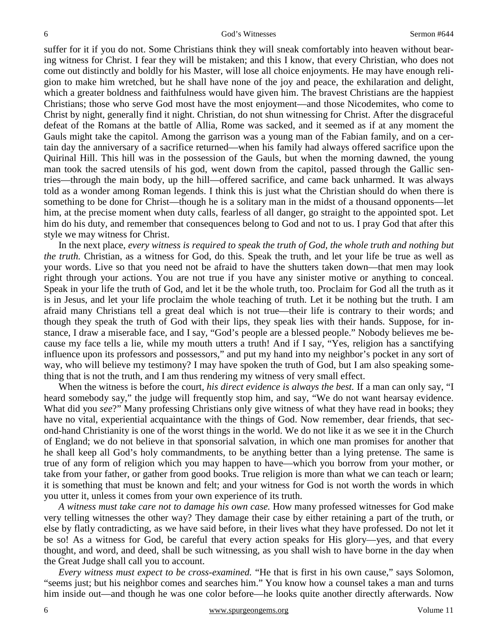6

suffer for it if you do not. Some Christians think they will sneak comfortably into heaven without bearing witness for Christ. I fear they will be mistaken; and this I know, that every Christian, who does not come out distinctly and boldly for his Master, will lose all choice enjoyments. He may have enough religion to make him wretched, but he shall have none of the joy and peace, the exhilaration and delight, which a greater boldness and faithfulness would have given him. The bravest Christians are the happiest Christians; those who serve God most have the most enjoyment—and those Nicodemites, who come to Christ by night, generally find it night. Christian, do not shun witnessing for Christ. After the disgraceful defeat of the Romans at the battle of Allia, Rome was sacked, and it seemed as if at any moment the Gauls might take the capitol. Among the garrison was a young man of the Fabian family, and on a certain day the anniversary of a sacrifice returned—when his family had always offered sacrifice upon the Quirinal Hill. This hill was in the possession of the Gauls, but when the morning dawned, the young man took the sacred utensils of his god, went down from the capitol, passed through the Gallic sentries—through the main body, up the hill—offered sacrifice, and came back unharmed. It was always told as a wonder among Roman legends. I think this is just what the Christian should do when there is something to be done for Christ—though he is a solitary man in the midst of a thousand opponents—let him, at the precise moment when duty calls, fearless of all danger, go straight to the appointed spot. Let him do his duty, and remember that consequences belong to God and not to us. I pray God that after this style we may witness for Christ.

 In the next place, *every witness is required to speak the truth of God, the whole truth and nothing but the truth.* Christian, as a witness for God, do this. Speak the truth, and let your life be true as well as your words. Live so that you need not be afraid to have the shutters taken down—that men may look right through your actions. You are not true if you have any sinister motive or anything to conceal. Speak in your life the truth of God, and let it be the whole truth, too. Proclaim for God all the truth as it is in Jesus, and let your life proclaim the whole teaching of truth. Let it be nothing but the truth. I am afraid many Christians tell a great deal which is not true—their life is contrary to their words; and though they speak the truth of God with their lips, they speak lies with their hands. Suppose, for instance, I draw a miserable face, and I say, "God's people are a blessed people." Nobody believes me because my face tells a lie, while my mouth utters a truth! And if I say, "Yes, religion has a sanctifying influence upon its professors and possessors," and put my hand into my neighbor's pocket in any sort of way, who will believe my testimony? I may have spoken the truth of God, but I am also speaking something that is not the truth, and I am thus rendering my witness of very small effect.

When the witness is before the court, *his direct evidence is always the best*. If a man can only say, "I heard somebody say," the judge will frequently stop him, and say, "We do not want hearsay evidence. What did you *see*?" Many professing Christians only give witness of what they have read in books; they have no vital, experiential acquaintance with the things of God. Now remember, dear friends, that second-hand Christianity is one of the worst things in the world. We do not like it as we see it in the Church of England; we do not believe in that sponsorial salvation, in which one man promises for another that he shall keep all God's holy commandments, to be anything better than a lying pretense. The same is true of any form of religion which you may happen to have—which you borrow from your mother, or take from your father, or gather from good books. True religion is more than what we can teach or learn; it is something that must be known and felt; and your witness for God is not worth the words in which you utter it, unless it comes from your own experience of its truth.

*A witness must take care not to damage his own case.* How many professed witnesses for God make very telling witnesses the other way? They damage their case by either retaining a part of the truth, or else by flatly contradicting, as we have said before, in their lives what they have professed. Do not let it be so! As a witness for God, be careful that every action speaks for His glory—yes, and that every thought, and word, and deed, shall be such witnessing, as you shall wish to have borne in the day when the Great Judge shall call you to account.

*Every witness must expect to be cross-examined.* "He that is first in his own cause," says Solomon, "seems just; but his neighbor comes and searches him." You know how a counsel takes a man and turns him inside out—and though he was one color before—he looks quite another directly afterwards. Now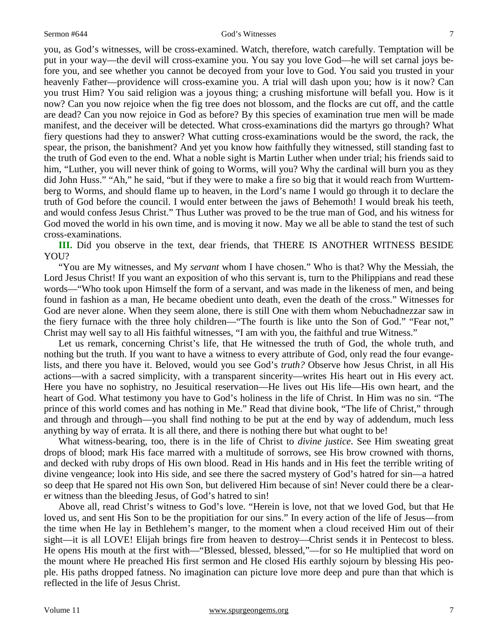you, as God's witnesses, will be cross-examined. Watch, therefore, watch carefully. Temptation will be put in your way—the devil will cross-examine you. You say you love God—he will set carnal joys before you, and see whether you cannot be decoyed from your love to God. You said you trusted in your heavenly Father—providence will cross-examine you. A trial will dash upon you; how is it now? Can you trust Him? You said religion was a joyous thing; a crushing misfortune will befall you. How is it now? Can you now rejoice when the fig tree does not blossom, and the flocks are cut off, and the cattle are dead? Can you now rejoice in God as before? By this species of examination true men will be made manifest, and the deceiver will be detected. What cross-examinations did the martyrs go through? What fiery questions had they to answer? What cutting cross-examinations would be the sword, the rack, the spear, the prison, the banishment? And yet you know how faithfully they witnessed, still standing fast to the truth of God even to the end. What a noble sight is Martin Luther when under trial; his friends said to him, "Luther, you will never think of going to Worms, will you? Why the cardinal will burn you as they did John Huss." "Ah," he said, "but if they were to make a fire so big that it would reach from Wurttemberg to Worms, and should flame up to heaven, in the Lord's name I would go through it to declare the truth of God before the council. I would enter between the jaws of Behemoth! I would break his teeth, and would confess Jesus Christ." Thus Luther was proved to be the true man of God, and his witness for God moved the world in his own time, and is moving it now. May we all be able to stand the test of such cross-examinations.

**III.** Did you observe in the text, dear friends, that THERE IS ANOTHER WITNESS BESIDE YOU?

 "You are My witnesses, and My *servant* whom I have chosen." Who is that? Why the Messiah, the Lord Jesus Christ! If you want an exposition of who this servant is, turn to the Philippians and read these words—"Who took upon Himself the form of a servant, and was made in the likeness of men, and being found in fashion as a man, He became obedient unto death, even the death of the cross." Witnesses for God are never alone. When they seem alone, there is still One with them whom Nebuchadnezzar saw in the fiery furnace with the three holy children—"The fourth is like unto the Son of God." "Fear not," Christ may well say to all His faithful witnesses, "I am with you, the faithful and true Witness."

Let us remark, concerning Christ's life, that He witnessed the truth of God, the whole truth, and nothing but the truth. If you want to have a witness to every attribute of God, only read the four evangelists, and there you have it. Beloved, would you see God's *truth?* Observe how Jesus Christ, in all His actions—with a sacred simplicity, with a transparent sincerity—writes His heart out in His every act. Here you have no sophistry, no Jesuitical reservation—He lives out His life—His own heart, and the heart of God. What testimony you have to God's holiness in the life of Christ. In Him was no sin. "The prince of this world comes and has nothing in Me." Read that divine book, "The life of Christ," through and through and through—you shall find nothing to be put at the end by way of addendum, much less anything by way of errata. It is all there, and there is nothing there but what ought to be!

 What witness-bearing, too, there is in the life of Christ to *divine justice*. See Him sweating great drops of blood; mark His face marred with a multitude of sorrows, see His brow crowned with thorns, and decked with ruby drops of His own blood. Read in His hands and in His feet the terrible writing of divine vengeance; look into His side, and see there the sacred mystery of God's hatred for sin—a hatred so deep that He spared not His own Son, but delivered Him because of sin! Never could there be a clearer witness than the bleeding Jesus, of God's hatred to sin!

 Above all, read Christ's witness to God's love. "Herein is love, not that we loved God, but that He loved us, and sent His Son to be the propitiation for our sins." In every action of the life of Jesus—from the time when He lay in Bethlehem's manger, to the moment when a cloud received Him out of their sight—it is all LOVE! Elijah brings fire from heaven to destroy—Christ sends it in Pentecost to bless. He opens His mouth at the first with—"Blessed, blessed, blessed,"—for so He multiplied that word on the mount where He preached His first sermon and He closed His earthly sojourn by blessing His people. His paths dropped fatness. No imagination can picture love more deep and pure than that which is reflected in the life of Jesus Christ.